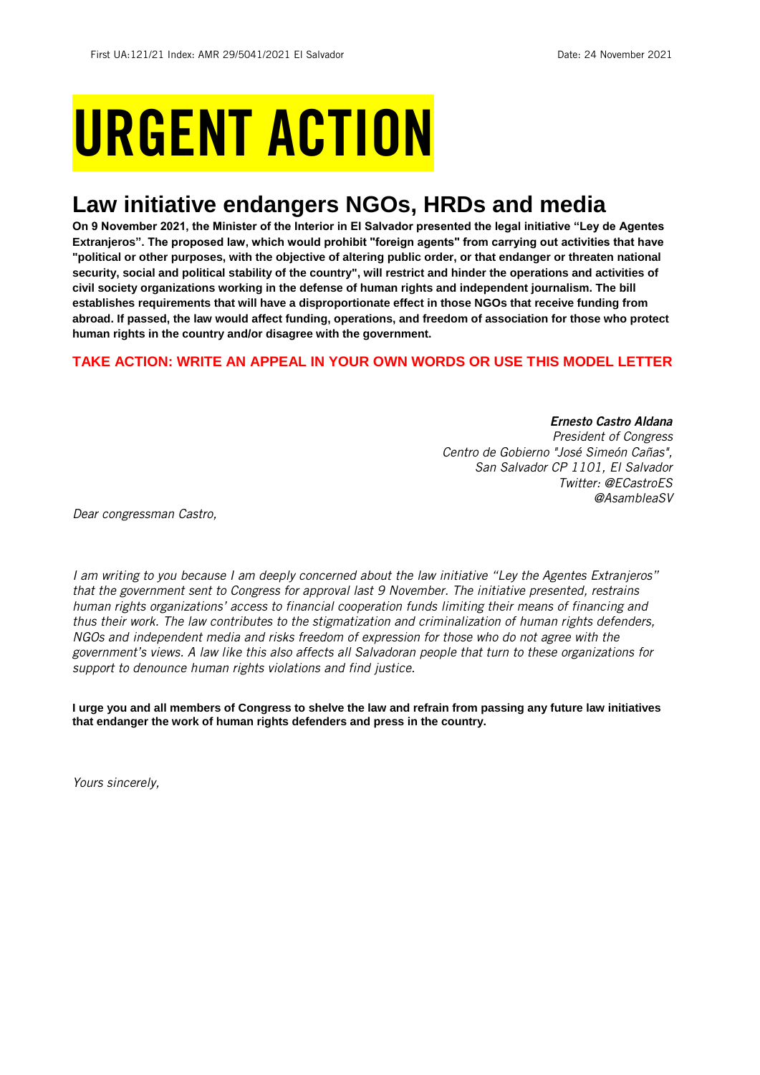# URGENT ACTION

## **Law initiative endangers NGOs, HRDs and media**

**On 9 November 2021, the Minister of the Interior in El Salvador presented the legal initiative "Ley de Agentes Extranjeros". The proposed law, which would prohibit "foreign agents" from carrying out activities that have "political or other purposes, with the objective of altering public order, or that endanger or threaten national security, social and political stability of the country", will restrict and hinder the operations and activities of civil society organizations working in the defense of human rights and independent journalism. The bill establishes requirements that will have a disproportionate effect in those NGOs that receive funding from abroad. If passed, the law would affect funding, operations, and freedom of association for those who protect human rights in the country and/or disagree with the government.**

## **TAKE ACTION: WRITE AN APPEAL IN YOUR OWN WORDS OR USE THIS MODEL LETTER**

*Ernesto Castro Aldana President of Congress Centro de Gobierno "José Simeón Cañas", San Salvador CP 1101, El Salvador Twitter: @ECastroES @AsambleaSV*

*Dear congressman Castro,*

*I am writing to you because I am deeply concerned about the law initiative "Ley the Agentes Extranjeros" that the government sent to Congress for approval last 9 November. The initiative presented, restrains human rights organizations' access to financial cooperation funds limiting their means of financing and thus their work. The law contributes to the stigmatization and criminalization of human rights defenders, NGOs and independent media and risks freedom of expression for those who do not agree with the government's views. A law like this also affects all Salvadoran people that turn to these organizations for support to denounce human rights violations and find justice.* 

**I urge you and all members of Congress to shelve the law and refrain from passing any future law initiatives that endanger the work of human rights defenders and press in the country.** 

*Yours sincerely,*